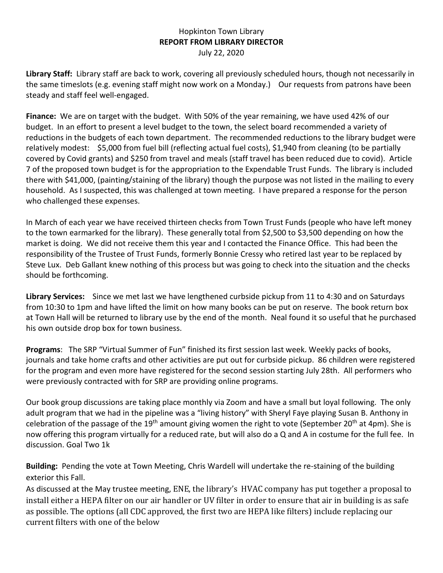## Hopkinton Town Library **REPORT FROM LIBRARY DIRECTOR** July 22, 2020

**Library Staff:** Library staff are back to work, covering all previously scheduled hours, though not necessarily in the same timeslots (e.g. evening staff might now work on a Monday.) Our requests from patrons have been steady and staff feel well-engaged.

**Finance:** We are on target with the budget. With 50% of the year remaining, we have used 42% of our budget. In an effort to present a level budget to the town, the select board recommended a variety of reductions in the budgets of each town department. The recommended reductions to the library budget were relatively modest: \$5,000 from fuel bill (reflecting actual fuel costs), \$1,940 from cleaning (to be partially covered by Covid grants) and \$250 from travel and meals (staff travel has been reduced due to covid). Article 7 of the proposed town budget is for the appropriation to the Expendable Trust Funds. The library is included there with \$41,000, (painting/staining of the library) though the purpose was not listed in the mailing to every household. As I suspected, this was challenged at town meeting. I have prepared a response for the person who challenged these expenses.

In March of each year we have received thirteen checks from Town Trust Funds (people who have left money to the town earmarked for the library). These generally total from \$2,500 to \$3,500 depending on how the market is doing. We did not receive them this year and I contacted the Finance Office. This had been the responsibility of the Trustee of Trust Funds, formerly Bonnie Cressy who retired last year to be replaced by Steve Lux. Deb Gallant knew nothing of this process but was going to check into the situation and the checks should be forthcoming.

**Library Services:** Since we met last we have lengthened curbside pickup from 11 to 4:30 and on Saturdays from 10:30 to 1pm and have lifted the limit on how many books can be put on reserve. The book return box at Town Hall will be returned to library use by the end of the month. Neal found it so useful that he purchased his own outside drop box for town business.

**Programs**: The SRP "Virtual Summer of Fun" finished its first session last week. Weekly packs of books, journals and take home crafts and other activities are put out for curbside pickup. 86 children were registered for the program and even more have registered for the second session starting July 28th. All performers who were previously contracted with for SRP are providing online programs.

Our book group discussions are taking place monthly via Zoom and have a small but loyal following. The only adult program that we had in the pipeline was a "living history" with Sheryl Faye playing Susan B. Anthony in celebration of the passage of the 19<sup>th</sup> amount giving women the right to vote (September 20<sup>th</sup> at 4pm). She is now offering this program virtually for a reduced rate, but will also do a Q and A in costume for the full fee. In discussion. Goal Two 1k

**Building:** Pending the vote at Town Meeting, Chris Wardell will undertake the re-staining of the building exterior this Fall.

As discussed at the May trustee meeting, ENE, the library's HVAC company has put together a proposal to install either a HEPA filter on our air handler or UV filter in order to ensure that air in building is as safe as possible. The options (all CDC approved, the first two are HEPA like filters) include replacing our current filters with one of the below